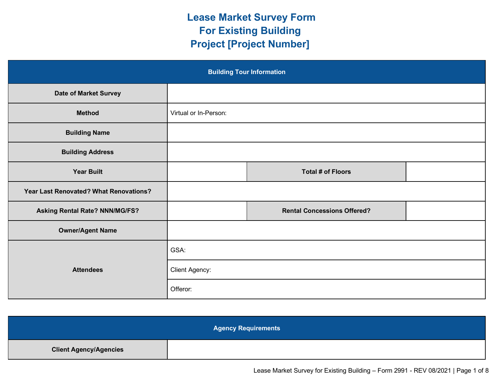## **Lease Market Survey Form For Existing Building Project [Project Number]**

| <b>Building Tour Information</b>       |                       |                                    |  |
|----------------------------------------|-----------------------|------------------------------------|--|
| <b>Date of Market Survey</b>           |                       |                                    |  |
| <b>Method</b>                          | Virtual or In-Person: |                                    |  |
| <b>Building Name</b>                   |                       |                                    |  |
| <b>Building Address</b>                |                       |                                    |  |
| <b>Year Built</b>                      |                       | <b>Total # of Floors</b>           |  |
| Year Last Renovated? What Renovations? |                       |                                    |  |
| Asking Rental Rate? NNN/MG/FS?         |                       | <b>Rental Concessions Offered?</b> |  |
| <b>Owner/Agent Name</b>                |                       |                                    |  |
|                                        | GSA:                  |                                    |  |
| <b>Attendees</b>                       | Client Agency:        |                                    |  |
|                                        | Offeror:              |                                    |  |

| <b>Agency Requirements</b>    |  |  |
|-------------------------------|--|--|
| <b>Client Agency/Agencies</b> |  |  |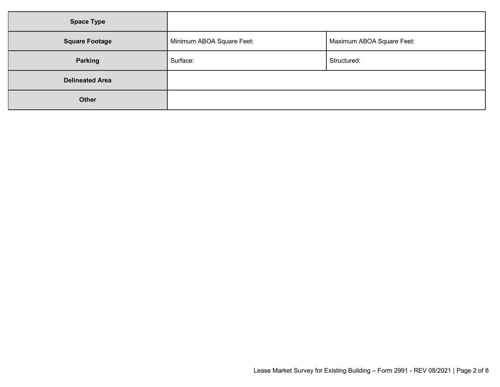| <b>Space Type</b>      |                           |                           |
|------------------------|---------------------------|---------------------------|
| <b>Square Footage</b>  | Minimum ABOA Square Feet: | Maximum ABOA Square Feet: |
| Parking                | Surface:                  | Structured:               |
| <b>Delineated Area</b> |                           |                           |
| Other                  |                           |                           |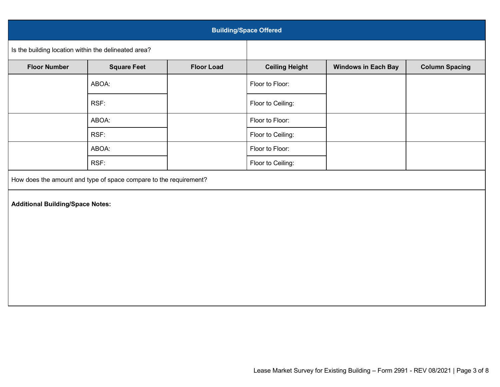| <b>Building/Space Offered</b>                                     |                    |                   |                       |                            |                       |
|-------------------------------------------------------------------|--------------------|-------------------|-----------------------|----------------------------|-----------------------|
| Is the building location within the delineated area?              |                    |                   |                       |                            |                       |
| <b>Floor Number</b>                                               | <b>Square Feet</b> | <b>Floor Load</b> | <b>Ceiling Height</b> | <b>Windows in Each Bay</b> | <b>Column Spacing</b> |
|                                                                   | ABOA:              |                   | Floor to Floor:       |                            |                       |
|                                                                   | RSF:               |                   | Floor to Ceiling:     |                            |                       |
|                                                                   | ABOA:              |                   | Floor to Floor:       |                            |                       |
|                                                                   | RSF:               |                   | Floor to Ceiling:     |                            |                       |
|                                                                   | ABOA:              |                   | Floor to Floor:       |                            |                       |
|                                                                   | RSF:               |                   | Floor to Ceiling:     |                            |                       |
| How does the amount and type of space compare to the requirement? |                    |                   |                       |                            |                       |
| <b>Additional Building/Space Notes:</b>                           |                    |                   |                       |                            |                       |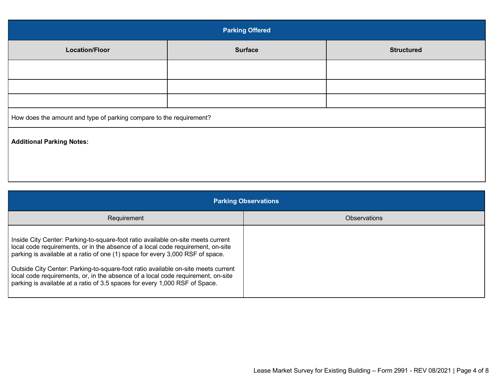| <b>Parking Offered</b>                                              |                |                   |
|---------------------------------------------------------------------|----------------|-------------------|
| <b>Location/Floor</b>                                               | <b>Surface</b> | <b>Structured</b> |
|                                                                     |                |                   |
|                                                                     |                |                   |
|                                                                     |                |                   |
| How does the amount and type of parking compare to the requirement? |                |                   |
| <b>Additional Parking Notes:</b>                                    |                |                   |
|                                                                     |                |                   |
|                                                                     |                |                   |

| <b>Parking Observations</b>                                                                                                                                                                                                                                                                                                                                                                                                                                                                                   |                     |  |
|---------------------------------------------------------------------------------------------------------------------------------------------------------------------------------------------------------------------------------------------------------------------------------------------------------------------------------------------------------------------------------------------------------------------------------------------------------------------------------------------------------------|---------------------|--|
| Requirement                                                                                                                                                                                                                                                                                                                                                                                                                                                                                                   | <b>Observations</b> |  |
| Inside City Center: Parking-to-square-foot ratio available on-site meets current<br>local code requirements, or in the absence of a local code requirement, on-site<br>parking is available at a ratio of one (1) space for every 3,000 RSF of space.<br>Outside City Center: Parking-to-square-foot ratio available on-site meets current<br>local code requirements, or, in the absence of a local code requirement, on-site<br>parking is available at a ratio of 3.5 spaces for every 1,000 RSF of Space. |                     |  |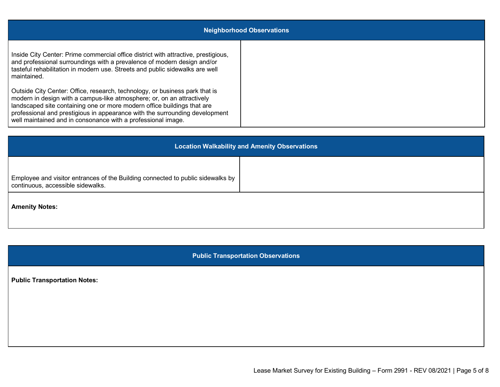| <b>Neighborhood Observations</b>                                                                                                                                                                                                                                                                                                                                                |  |  |
|---------------------------------------------------------------------------------------------------------------------------------------------------------------------------------------------------------------------------------------------------------------------------------------------------------------------------------------------------------------------------------|--|--|
| Inside City Center: Prime commercial office district with attractive, prestigious,<br>and professional surroundings with a prevalence of modern design and/or<br>tasteful rehabilitation in modern use. Streets and public sidewalks are well<br>maintained.                                                                                                                    |  |  |
| Outside City Center: Office, research, technology, or business park that is<br>modern in design with a campus-like atmosphere; or, on an attractively<br>landscaped site containing one or more modern office buildings that are<br>professional and prestigious in appearance with the surrounding development<br>well maintained and in consonance with a professional image. |  |  |

| <b>Location Walkability and Amenity Observations</b>                                                                 |  |  |
|----------------------------------------------------------------------------------------------------------------------|--|--|
| Employee and visitor entrances of the Building connected to public sidewalks by<br>continuous, accessible sidewalks. |  |  |
| <b>Amenity Notes:</b>                                                                                                |  |  |

**Public Transportation Observations**

**Public Transportation Notes:**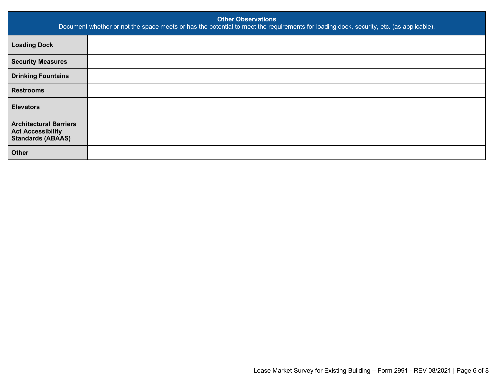| <b>Other Observations</b><br>Document whether or not the space meets or has the potential to meet the requirements for loading dock, security, etc. (as applicable). |  |  |
|----------------------------------------------------------------------------------------------------------------------------------------------------------------------|--|--|
| <b>Loading Dock</b>                                                                                                                                                  |  |  |
| <b>Security Measures</b>                                                                                                                                             |  |  |
| <b>Drinking Fountains</b>                                                                                                                                            |  |  |
| <b>Restrooms</b>                                                                                                                                                     |  |  |
| <b>Elevators</b>                                                                                                                                                     |  |  |
| <b>Architectural Barriers</b><br><b>Act Accessibility</b><br><b>Standards (ABAAS)</b>                                                                                |  |  |
| <b>Other</b>                                                                                                                                                         |  |  |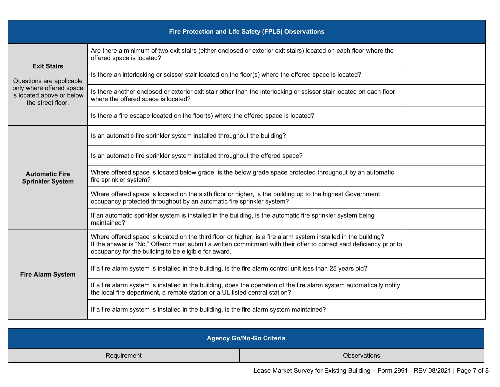| Fire Protection and Life Safety (FPLS) Observations                        |                                                                                                                                                                                                                                                                                                |  |
|----------------------------------------------------------------------------|------------------------------------------------------------------------------------------------------------------------------------------------------------------------------------------------------------------------------------------------------------------------------------------------|--|
| <b>Exit Stairs</b><br>Questions are applicable                             | Are there a minimum of two exit stairs (either enclosed or exterior exit stairs) located on each floor where the<br>offered space is located?                                                                                                                                                  |  |
|                                                                            | Is there an interlocking or scissor stair located on the floor(s) where the offered space is located?                                                                                                                                                                                          |  |
| only where offered space<br>is located above or below<br>the street floor. | Is there another enclosed or exterior exit stair other than the interlocking or scissor stair located on each floor<br>where the offered space is located?                                                                                                                                     |  |
|                                                                            | Is there a fire escape located on the floor(s) where the offered space is located?                                                                                                                                                                                                             |  |
|                                                                            | Is an automatic fire sprinkler system installed throughout the building?                                                                                                                                                                                                                       |  |
| <b>Automatic Fire</b><br><b>Sprinkler System</b>                           | Is an automatic fire sprinkler system installed throughout the offered space?                                                                                                                                                                                                                  |  |
|                                                                            | Where offered space is located below grade, is the below grade space protected throughout by an automatic<br>fire sprinkler system?                                                                                                                                                            |  |
|                                                                            | Where offered space is located on the sixth floor or higher, is the building up to the highest Government<br>occupancy protected throughout by an automatic fire sprinkler system?                                                                                                             |  |
|                                                                            | If an automatic sprinkler system is installed in the building, is the automatic fire sprinkler system being<br>maintained?                                                                                                                                                                     |  |
|                                                                            | Where offered space is located on the third floor or higher, is a fire alarm system installed in the building?<br>If the answer is "No," Offeror must submit a written commitment with their offer to correct said deficiency prior to<br>occupancy for the building to be eligible for award. |  |
| <b>Fire Alarm System</b>                                                   | If a fire alarm system is installed in the building, is the fire alarm control unit less than 25 years old?                                                                                                                                                                                    |  |
|                                                                            | If a fire alarm system is installed in the building, does the operation of the fire alarm system automatically notify<br>the local fire department, a remote station or a UL listed central station?                                                                                           |  |
|                                                                            | If a fire alarm system is installed in the building, is the fire alarm system maintained?                                                                                                                                                                                                      |  |

| <b>Agency Go/No-Go Criteria</b> |              |  |
|---------------------------------|--------------|--|
| Requirement                     | Observations |  |